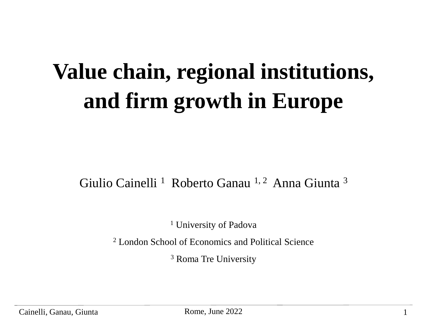## **Value chain, regional institutions, and firm growth in Europe**

#### Giulio Cainelli<sup>1</sup> Roberto Ganau<sup>1, 2</sup> Anna Giunta<sup>3</sup>

<sup>1</sup> University of Padova

<sup>2</sup> London School of Economics and Political Science

<sup>3</sup> Roma Tre University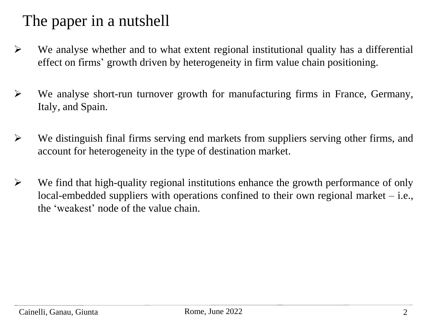#### The paper in a nutshell

- ➢ We analyse whether and to what extent regional institutional quality has a differential effect on firms' growth driven by heterogeneity in firm value chain positioning.
- ➢ We analyse short-run turnover growth for manufacturing firms in France, Germany, Italy, and Spain.
- ➢ We distinguish final firms serving end markets from suppliers serving other firms, and account for heterogeneity in the type of destination market.
- ➢ We find that high-quality regional institutions enhance the growth performance of only local-embedded suppliers with operations confined to their own regional market – i.e., the 'weakest' node of the value chain.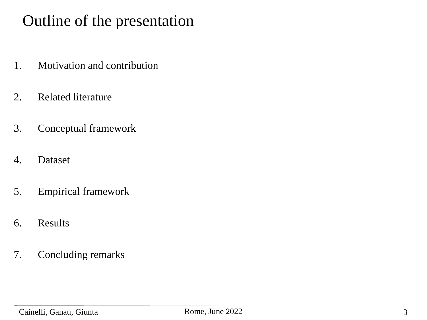#### Outline of the presentation

- 1. Motivation and contribution
- 2. Related literature
- 3. Conceptual framework
- 4. Dataset
- 5. Empirical framework
- 6. Results
- 7. Concluding remarks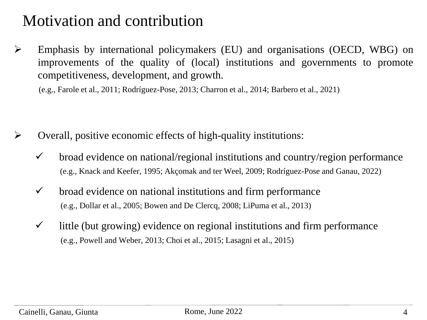#### Motivation and contribution

➢ Emphasis by international policymakers (EU) and organisations (OECD, WBG) on improvements of the quality of (local) institutions and governments to promote competitiveness, development, and growth.

(e.g., Farole et al., 2011; Rodríguez-Pose, 2013; Charron et al., 2014; Barbero et al., 2021)

- ➢ Overall, positive economic effects of high-quality institutions:
	- $\checkmark$  broad evidence on national/regional institutions and country/region performance (e.g., Knack and Keefer, 1995; Akçomak and ter Weel, 2009; Rodríguez-Pose and Ganau, 2022)
	- $\checkmark$  broad evidence on national institutions and firm performance (e.g., Dollar et al., 2005; Bowen and De Clercq, 2008; LiPuma et al., 2013)
	- $\checkmark$  little (but growing) evidence on regional institutions and firm performance (e.g., Powell and Weber, 2013; Choi et al., 2015; Lasagni et al., 2015)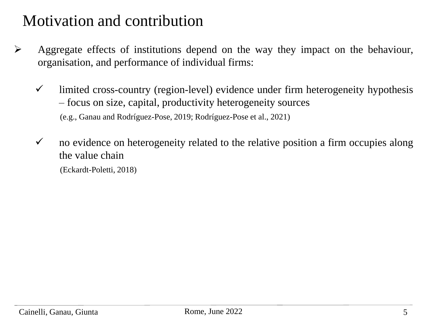#### Motivation and contribution

- ➢ Aggregate effects of institutions depend on the way they impact on the behaviour, organisation, and performance of individual firms:
	- $\checkmark$  limited cross-country (region-level) evidence under firm heterogeneity hypothesis – focus on size, capital, productivity heterogeneity sources (e.g., Ganau and Rodríguez-Pose, 2019; Rodríguez-Pose et al., 2021)
	- $\checkmark$  no evidence on heterogeneity related to the relative position a firm occupies along the value chain

(Eckardt-Poletti, 2018)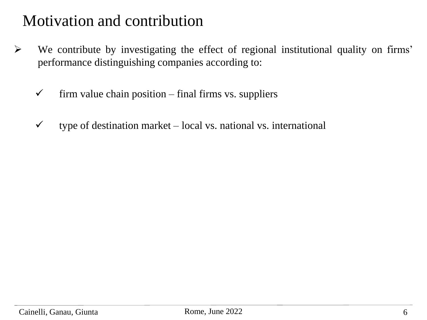#### Motivation and contribution

- ➢ We contribute by investigating the effect of regional institutional quality on firms' performance distinguishing companies according to:
	- $\checkmark$  firm value chain position final firms vs. suppliers
	- $\checkmark$  type of destination market local vs. national vs. international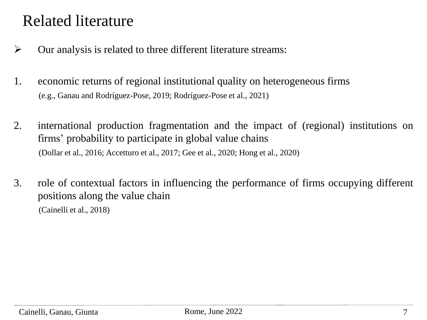#### Related literature

- ➢ Our analysis is related to three different literature streams:
- 1. economic returns of regional institutional quality on heterogeneous firms (e.g., Ganau and Rodríguez-Pose, 2019; Rodríguez-Pose et al., 2021)
- 2. international production fragmentation and the impact of (regional) institutions on firms' probability to participate in global value chains (Dollar et al., 2016; Accetturo et al., 2017; Gee et al., 2020; Hong et al., 2020)
- 3. role of contextual factors in influencing the performance of firms occupying different positions along the value chain (Cainelli et al., 2018)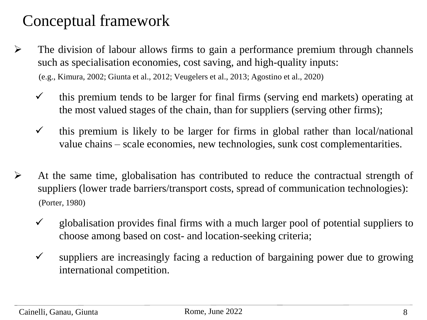#### Conceptual framework

- ➢ The division of labour allows firms to gain a performance premium through channels such as specialisation economies, cost saving, and high-quality inputs: (e.g., Kimura, 2002; Giunta et al., 2012; Veugelers et al., 2013; Agostino et al., 2020)
	- $\checkmark$  this premium tends to be larger for final firms (serving end markets) operating at the most valued stages of the chain, than for suppliers (serving other firms);
	- $\checkmark$  this premium is likely to be larger for firms in global rather than local/national value chains – scale economies, new technologies, sunk cost complementarities.
- ➢ At the same time, globalisation has contributed to reduce the contractual strength of suppliers (lower trade barriers/transport costs, spread of communication technologies): (Porter, 1980)
	- $\checkmark$  globalisation provides final firms with a much larger pool of potential suppliers to choose among based on cost- and location-seeking criteria;
	- $\checkmark$  suppliers are increasingly facing a reduction of bargaining power due to growing international competition.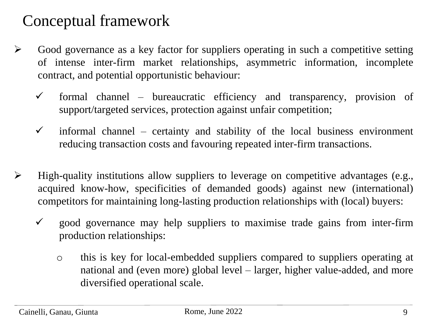#### Conceptual framework

- ➢ Good governance as a key factor for suppliers operating in such a competitive setting of intense inter-firm market relationships, asymmetric information, incomplete contract, and potential opportunistic behaviour:
	- $\checkmark$  formal channel bureaucratic efficiency and transparency, provision of support/targeted services, protection against unfair competition;
	- $\checkmark$  informal channel certainty and stability of the local business environment reducing transaction costs and favouring repeated inter-firm transactions.
- ➢ High-quality institutions allow suppliers to leverage on competitive advantages (e.g., acquired know-how, specificities of demanded goods) against new (international) competitors for maintaining long-lasting production relationships with (local) buyers:
	- $\checkmark$  good governance may help suppliers to maximise trade gains from inter-firm production relationships:
		- o this is key for local-embedded suppliers compared to suppliers operating at national and (even more) global level – larger, higher value-added, and more diversified operational scale.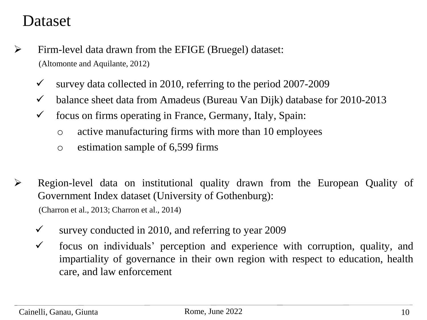#### Dataset

- ➢ Firm-level data drawn from the EFIGE (Bruegel) dataset: (Altomonte and Aquilante, 2012)
	- $\checkmark$  survey data collected in 2010, referring to the period 2007-2009
	- $\checkmark$  balance sheet data from Amadeus (Bureau Van Dijk) database for 2010-2013
	- $\checkmark$  focus on firms operating in France, Germany, Italy, Spain:
		- o active manufacturing firms with more than 10 employees
		- o estimation sample of 6,599 firms
- ➢ Region-level data on institutional quality drawn from the European Quality of Government Index dataset (University of Gothenburg):

(Charron et al., 2013; Charron et al., 2014)

- $\checkmark$  survey conducted in 2010, and referring to year 2009
- $\checkmark$  focus on individuals' perception and experience with corruption, quality, and impartiality of governance in their own region with respect to education, health care, and law enforcement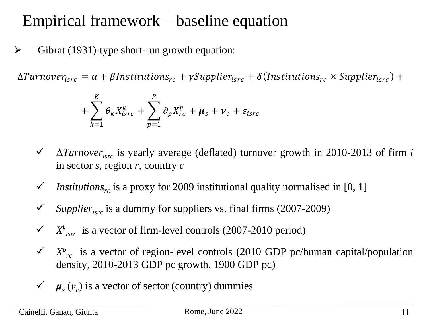#### Empirical framework – baseline equation

 $\triangleright$  Gibrat (1931)-type short-run growth equation:

 $\Delta Turnover_{isrc} = \alpha + \beta$ Institutions<sub>rc</sub> +  $\gamma$ Supplier<sub>isrc</sub> +  $\delta$ (Institutions<sub>rc</sub> × Supplier<sub>isrc</sub>) +

$$
+\sum_{k=1}^K \theta_k X_{isrc}^k + \sum_{p=1}^P \vartheta_p X_{rc}^p + \mu_s + \nu_c + \varepsilon_{isrc}
$$

- ✓ Δ*Turnoverisrc* is yearly average (deflated) turnover growth in 2010-2013 of firm *i* in sector *s*, region *r*, country *c*
- $\checkmark$  *Institutions<sub>rc</sub>* is a proxy for 2009 institutional quality normalised in [0, 1]
- *Supplier<sub>isrc</sub>* is a dummy for suppliers vs. final firms (2007-2009)
- $\checkmark$  *X*<sup>*k*</sup><sub>*isrc*</sub> is a vector of firm-level controls (2007-2010 period)
- $\checkmark$  *X<sup>p</sup><sub>rc</sub>* is a vector of region-level controls (2010 GDP pc/human capital/population density, 2010-2013 GDP pc growth, 1900 GDP pc)  $\Delta Turnover_{isrc} = \alpha + \beta Instantitions_{rc} + \gamma \text{Supplier}_{isrc} + \delta(Institution_{sc} \times \text{Supplier}_{isrc}) + \sum_{k=1}^{K} \theta_k X_{isrc}^k + \sum_{p=1}^{P} \vartheta_p X_{rc}^p + \mu_s + \nu_c + \varepsilon_{isrc}$ <br>
→  $\Delta Turnover_{isrc}$  is yearly average (deflated) turnover growth in 2010-2013 of in sector s, region r, country
	- $\checkmark$  μ<sub>*s*</sub> ( $v_c$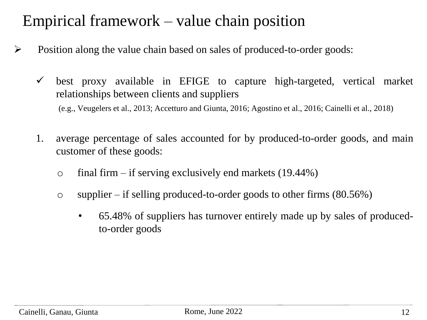#### Empirical framework – value chain position

- ➢ Position along the value chain based on sales of produced-to-order goods:
	- $\checkmark$  best proxy available in EFIGE to capture high-targeted, vertical market relationships between clients and suppliers (e.g., Veugelers et al., 2013; Accetturo and Giunta, 2016; Agostino et al., 2016; Cainelli et al., 2018)
	- 1. average percentage of sales accounted for by produced-to-order goods, and main customer of these goods:
		- $\circ$  final firm if serving exclusively end markets (19.44%)
		- o supplier if selling produced-to-order goods to other firms  $(80.56\%)$ 
			- 65.48% of suppliers has turnover entirely made up by sales of producedto-order goods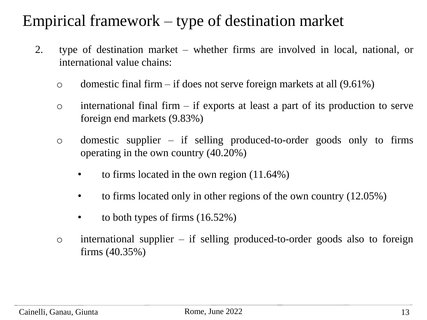#### Empirical framework – type of destination market

- 2. type of destination market whether firms are involved in local, national, or international value chains:
	- o domestic final firm if does not serve foreign markets at all  $(9.61\%)$
	- $\circ$  international final firm if exports at least a part of its production to serve foreign end markets (9.83%)
	- o domestic supplier if selling produced-to-order goods only to firms operating in the own country (40.20%)
		- to firms located in the own region  $(11.64%)$
		- to firms located only in other regions of the own country (12.05%)
		- to both types of firms  $(16.52%)$
	- o international supplier if selling produced-to-order goods also to foreign firms (40.35%)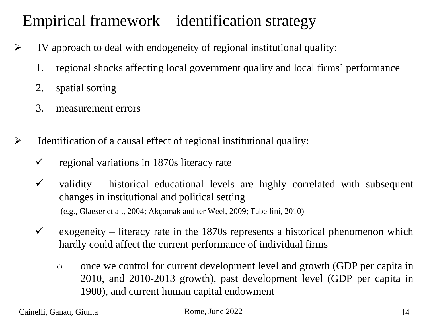### Empirical framework – identification strategy

- $\triangleright$  IV approach to deal with endogeneity of regional institutional quality:
	- 1. regional shocks affecting local government quality and local firms' performance
	- 2. spatial sorting
	- 3. measurement errors
- $\triangleright$  Identification of a causal effect of regional institutional quality:
	- $\checkmark$  regional variations in 1870s literacy rate
	- $\checkmark$  validity historical educational levels are highly correlated with subsequent changes in institutional and political setting (e.g., Glaeser et al., 2004; Akçomak and ter Weel, 2009; Tabellini, 2010)
	- $\checkmark$  exogeneity literacy rate in the 1870s represents a historical phenomenon which hardly could affect the current performance of individual firms
		- o once we control for current development level and growth (GDP per capita in 2010, and 2010-2013 growth), past development level (GDP per capita in 1900), and current human capital endowment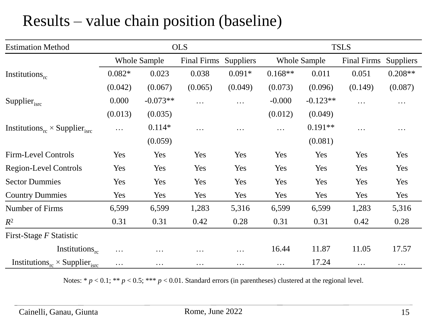#### Results – value chain position (baseline)

| <b>Estimation Method</b>                                     |          |                     | <b>OLS</b>         |                  |           |                     | <b>TSLS</b>        |                  |
|--------------------------------------------------------------|----------|---------------------|--------------------|------------------|-----------|---------------------|--------------------|------------------|
|                                                              |          | <b>Whole Sample</b> | <b>Final Firms</b> | <b>Suppliers</b> |           | <b>Whole Sample</b> | <b>Final Firms</b> | <b>Suppliers</b> |
| Institutions $_{rc}$                                         | $0.082*$ | 0.023               | 0.038              | $0.091*$         | $0.168**$ | 0.011               | 0.051              | $0.208**$        |
|                                                              | (0.042)  | (0.067)             | (0.065)            | (0.049)          | (0.073)   | (0.096)             | (0.149)            | (0.087)          |
| Supplier $_{\text{isrc}}$                                    | 0.000    | $-0.073**$          | $\cdots$           | $\cdots$         | $-0.000$  | $-0.123**$          | $\cdots$           | $\cdots$         |
|                                                              | (0.013)  | (0.035)             |                    |                  | (0.012)   | (0.049)             |                    |                  |
| Institutions <sub>rc</sub> $\times$ Supplier <sub>isrc</sub> | $\cdots$ | $0.114*$            | $\cdots$           | $\cdots$         | $\cdots$  | $0.191**$           | $\cdots$           | $\cdots$         |
|                                                              |          | (0.059)             |                    |                  |           | (0.081)             |                    |                  |
| Firm-Level Controls                                          | Yes      | Yes                 | Yes                | Yes              | Yes       | Yes                 | Yes                | Yes              |
| <b>Region-Level Controls</b>                                 | Yes      | Yes                 | Yes                | Yes              | Yes       | Yes                 | Yes                | Yes              |
| <b>Sector Dummies</b>                                        | Yes      | Yes                 | Yes                | Yes              | Yes       | Yes                 | Yes                | Yes              |
| <b>Country Dummies</b>                                       | Yes      | Yes                 | Yes                | Yes              | Yes       | Yes                 | Yes                | Yes              |
| Number of Firms                                              | 6,599    | 6,599               | 1,283              | 5,316            | 6,599     | 6,599               | 1,283              | 5,316            |
| $R^2$                                                        | 0.31     | 0.31                | 0.42               | 0.28             | 0.31      | 0.31                | 0.42               | 0.28             |
| First-Stage F Statistic                                      |          |                     |                    |                  |           |                     |                    |                  |
| Institutions $_{rc}$                                         | $\cdots$ | $\cdots$            | $\cdots$           | $\cdots$         | 16.44     | 11.87               | 11.05              | 17.57            |
| Institutions <sub>rc</sub> $\times$ Supplier <sub>isrc</sub> | .        | $\cdots$            | $\cdots$           | $\ddotsc$        | $\cdots$  | 17.24               | $\cdots$           | $\cdots$         |

Notes: \*  $p < 0.1$ ; \*\*  $p < 0.5$ ; \*\*\*  $p < 0.01$ . Standard errors (in parentheses) clustered at the regional level.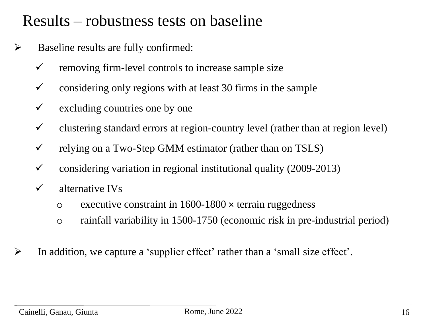#### Results – robustness tests on baseline

- $\triangleright$  Baseline results are fully confirmed:
	- $\checkmark$  removing firm-level controls to increase sample size
	- $\checkmark$  considering only regions with at least 30 firms in the sample
	- $\checkmark$  excluding countries one by one
	- $\checkmark$  clustering standard errors at region-country level (rather than at region level)
	- $\checkmark$  relying on a Two-Step GMM estimator (rather than on TSLS)
	- $\checkmark$  considering variation in regional institutional quality (2009-2013)
	- $\checkmark$  alternative IVs
		- o executive constraint in 1600-1800 × terrain ruggedness
		- o rainfall variability in 1500-1750 (economic risk in pre-industrial period)
- ➢ In addition, we capture a 'supplier effect' rather than a 'small size effect'.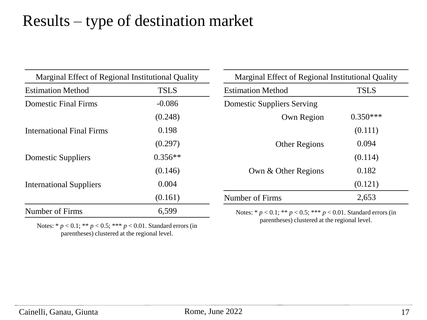#### Results – type of destination market

| Marginal Effect of Regional Institutional Quality |             | Marginal Effect of Regional Institutional Quality                        |             |  |  |
|---------------------------------------------------|-------------|--------------------------------------------------------------------------|-------------|--|--|
| <b>Estimation Method</b>                          | <b>TSLS</b> | <b>Estimation Method</b>                                                 | <b>TSLS</b> |  |  |
| <b>Domestic Final Firms</b>                       | $-0.086$    | <b>Domestic Suppliers Serving</b>                                        |             |  |  |
|                                                   | (0.248)     | Own Region                                                               | $0.350***$  |  |  |
| <b>International Final Firms</b>                  | 0.198       |                                                                          | (0.111)     |  |  |
|                                                   | (0.297)     | <b>Other Regions</b>                                                     | 0.094       |  |  |
| <b>Domestic Suppliers</b>                         | $0.356**$   |                                                                          | (0.114)     |  |  |
|                                                   | (0.146)     | Own & Other Regions                                                      | 0.182       |  |  |
| <b>International Suppliers</b>                    | 0.004       |                                                                          | (0.121)     |  |  |
|                                                   | (0.161)     | Number of Firms                                                          | 2,653       |  |  |
| Number of Firms                                   | 6,599       | Notes: * $p < 0.1$ ; ** $p < 0.5$ ; *** $p < 0.01$ . Standard errors (in |             |  |  |

Notes: \* *p* < 0.1; \*\* *p* < 0.5; \*\*\* *p* < 0.01. Standard errors (in parentheses) clustered at the regional level.

parentheses) clustered at the regional level.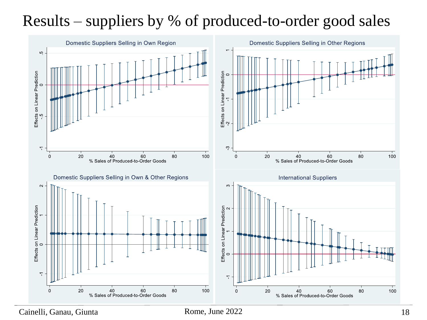### Results – suppliers by % of produced-to-order good sales



Cainelli, Ganau, Giunta **Rome, June 2022** 18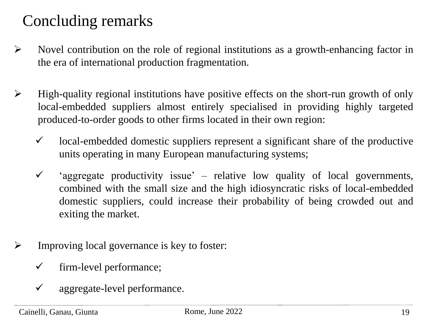#### Concluding remarks

- ➢ Novel contribution on the role of regional institutions as a growth-enhancing factor in the era of international production fragmentation.
- ➢ High-quality regional institutions have positive effects on the short-run growth of only local-embedded suppliers almost entirely specialised in providing highly targeted produced-to-order goods to other firms located in their own region:
	- $\checkmark$  local-embedded domestic suppliers represent a significant share of the productive units operating in many European manufacturing systems;
	- $\checkmark$  'aggregate productivity issue' relative low quality of local governments, combined with the small size and the high idiosyncratic risks of local-embedded domestic suppliers, could increase their probability of being crowded out and exiting the market.
- ➢ Improving local governance is key to foster:
	- $\checkmark$  firm-level performance;
	- ✓ aggregate-level performance.